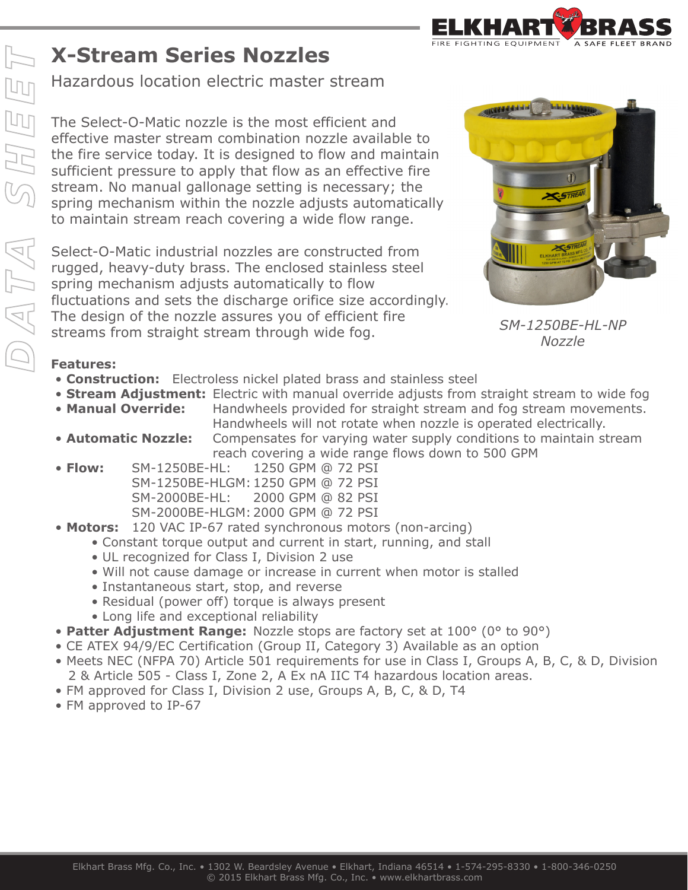## **X-Stream Series Nozzles**

Hazardous location electric master stream

The Select-O-Matic nozzle is the most efficient and effective master stream combination nozzle available to the fire service today. It is designed to flow and maintain sufficient pressure to apply that flow as an effective fire stream. No manual gallonage setting is necessary; the spring mechanism within the nozzle adjusts automatically to maintain stream reach covering a wide flow range.

Select-O-Matic industrial nozzles are constructed from rugged, heavy-duty brass. The enclosed stainless steel spring mechanism adjusts automatically to flow fluctuations and sets the discharge orifice size accordingly. The design of the nozzle assures you of efficient fire streams from straight stream through wide fog. *SM-1250BE-HL-NP*



*Nozzle*

## **Features:**

- **Construction:** Electroless nickel plated brass and stainless steel
- **Stream Adjustment:** Electric with manual override adjusts from straight stream to wide fog • Manual Override: Handwheels provided for straight stream and fog stream movements.
- Handwheels will not rotate when nozzle is operated electrically. • **Automatic Nozzle:** Compensates for varying water supply conditions to maintain stream reach covering a wide range flows down to 500 GPM
- **Flow:** SM-1250BE-HL: 1250 GPM @ 72 PSI SM-1250BE-HLGM: 1250 GPM @ 72 PSI SM-2000BE-HL: 2000 GPM @ 82 PSI SM-2000BE-HLGM: 2000 GPM @ 72 PSI
- **Motors:** 120 VAC IP-67 rated synchronous motors (non-arcing)
	- Constant torque output and current in start, running, and stall
	- UL recognized for Class I, Division 2 use
	- Will not cause damage or increase in current when motor is stalled
	- Instantaneous start, stop, and reverse
	- Residual (power off) torque is always present
	- Long life and exceptional reliability
- **Patter Adjustment Range:** Nozzle stops are factory set at 100° (0° to 90°)
- CE ATEX 94/9/EC Certification (Group II, Category 3) Available as an option
- Meets NEC (NFPA 70) Article 501 requirements for use in Class I, Groups A, B, C, & D, Division 2 & Article 505 - Class I, Zone 2, A Ex nA IIC T4 hazardous location areas.
- FM approved for Class I, Division 2 use, Groups A, B, C, & D, T4
- FM approved to IP-67